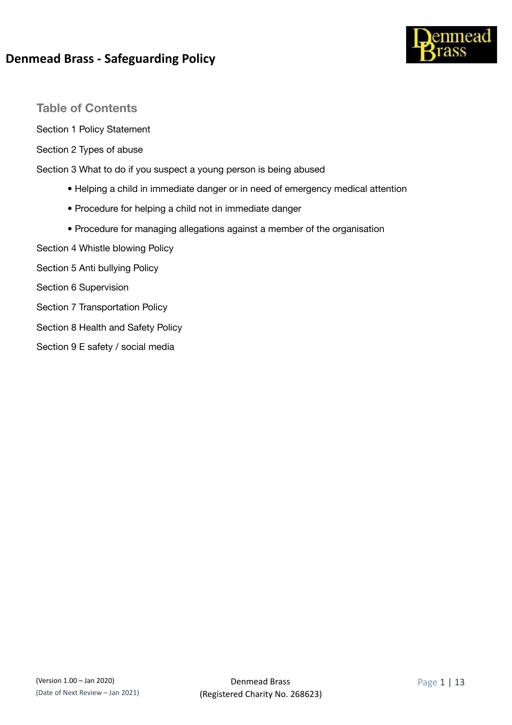

### **Table of Contents**

Section 1 Policy Statement

Section 2 Types of abuse

Section 3 What to do if you suspect a young person is being abused

- Helping a child in immediate danger or in need of emergency medical attention
- Procedure for helping a child not in immediate danger
- Procedure for managing allegations against a member of the organisation
- Section 4 Whistle blowing Policy
- Section 5 Anti bullying Policy
- Section 6 Supervision
- Section 7 Transportation Policy
- Section 8 Health and Safety Policy
- Section 9 E safety / social media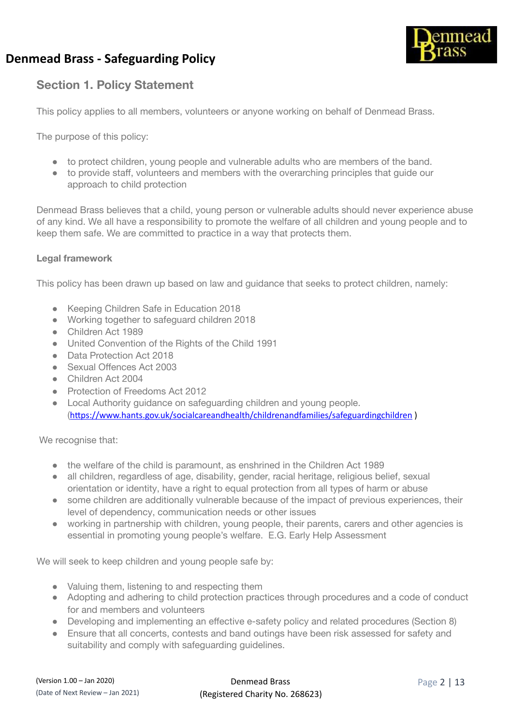

### **Section 1. Policy Statement**

This policy applies to all members, volunteers or anyone working on behalf of Denmead Brass.

The purpose of this policy:

- to protect children, young people and vulnerable adults who are members of the band.
- to provide staff, volunteers and members with the overarching principles that guide our approach to child protection

Denmead Brass believes that a child, young person or vulnerable adults should never experience abuse of any kind. We all have a responsibility to promote the welfare of all children and young people and to keep them safe. We are committed to practice in a way that protects them.

#### **Legal framework**

This policy has been drawn up based on law and guidance that seeks to protect children, namely:

- Keeping Children Safe in Education 2018
- Working together to safeguard children 2018
- Children Act 1989
- United Convention of the Rights of the Child 1991
- Data Protection Act 2018
- Sexual Offences Act 2003
- Children Act 2004
- **Protection of Freedoms Act 2012**
- Local Authority guidance on safeguarding children and young people. (https://www.hants.gov.uk/socialcareandhealth/childrenandfamilies/safeguardingchildren )

We recognise that:

- the welfare of the child is paramount, as enshrined in the Children Act 1989
- all children, regardless of age, disability, gender, racial heritage, religious belief, sexual orientation or identity, have a right to equal protection from all types of harm or abuse
- some children are additionally vulnerable because of the impact of previous experiences, their level of dependency, communication needs or other issues
- working in partnership with children, young people, their parents, carers and other agencies is essential in promoting young people's welfare. E.G. Early Help Assessment

We will seek to keep children and young people safe by:

- Valuing them, listening to and respecting them
- Adopting and adhering to child protection practices through procedures and a code of conduct for and members and volunteers
- Developing and implementing an effective e-safety policy and related procedures (Section 8)
- Ensure that all concerts, contests and band outings have been risk assessed for safety and suitability and comply with safeguarding guidelines.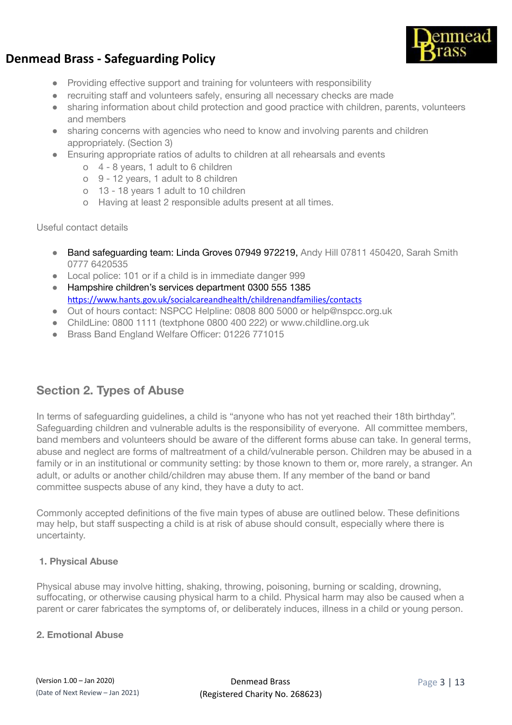

- Providing effective support and training for volunteers with responsibility
- recruiting staff and volunteers safely, ensuring all necessary checks are made
- sharing information about child protection and good practice with children, parents, volunteers and members
- sharing concerns with agencies who need to know and involving parents and children appropriately. (Section 3)
- Ensuring appropriate ratios of adults to children at all rehearsals and events
	- o 4 8 years, 1 adult to 6 children
	- o 9 12 years, 1 adult to 8 children
	- o 13 18 years 1 adult to 10 children
	- o Having at least 2 responsible adults present at all times.

#### Useful contact details

- Band safeguarding team: Linda Groves 07949 972219, Andy Hill 07811 450420, Sarah Smith 0777 6420535
- Local police: 101 or if a child is in immediate danger 999
- Hampshire children's services department 0300 555 1385 https://www.hants.gov.uk/socialcareandhealth/childrenandfamilies/contacts
- Out of hours contact: NSPCC Helpline: 0808 800 5000 or help@nspcc.org.uk
- ChildLine: 0800 1111 (textphone 0800 400 222) or www.childline.org.uk
- Brass Band England Welfare Officer: 01226 771015

### **Section 2. Types of Abuse**

In terms of safeguarding guidelines, a child is "anyone who has not yet reached their 18th birthday". Safeguarding children and vulnerable adults is the responsibility of everyone. All committee members, band members and volunteers should be aware of the different forms abuse can take. In general terms, abuse and neglect are forms of maltreatment of a child/vulnerable person. Children may be abused in a family or in an institutional or community setting: by those known to them or, more rarely, a stranger. An adult, or adults or another child/children may abuse them. If any member of the band or band committee suspects abuse of any kind, they have a duty to act.

Commonly accepted definitions of the five main types of abuse are outlined below. These definitions may help, but staff suspecting a child is at risk of abuse should consult, especially where there is uncertainty.

#### **1. Physical Abuse**

Physical abuse may involve hitting, shaking, throwing, poisoning, burning or scalding, drowning, suffocating, or otherwise causing physical harm to a child. Physical harm may also be caused when a parent or carer fabricates the symptoms of, or deliberately induces, illness in a child or young person.

### **2. Emotional Abuse**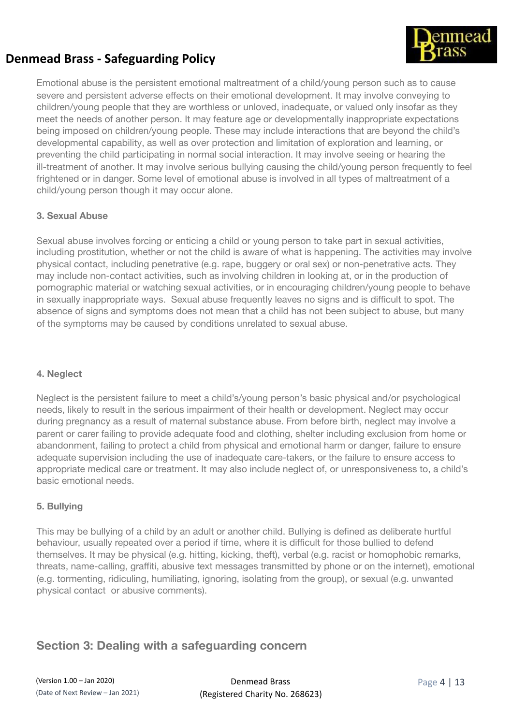

Emotional abuse is the persistent emotional maltreatment of a child/young person such as to cause severe and persistent adverse effects on their emotional development. It may involve conveying to children/young people that they are worthless or unloved, inadequate, or valued only insofar as they meet the needs of another person. It may feature age or developmentally inappropriate expectations being imposed on children/young people. These may include interactions that are beyond the child's developmental capability, as well as over protection and limitation of exploration and learning, or preventing the child participating in normal social interaction. It may involve seeing or hearing the ill-treatment of another. It may involve serious bullying causing the child/young person frequently to feel frightened or in danger. Some level of emotional abuse is involved in all types of maltreatment of a child/young person though it may occur alone.

### **3. Sexual Abuse**

Sexual abuse involves forcing or enticing a child or young person to take part in sexual activities, including prostitution, whether or not the child is aware of what is happening. The activities may involve physical contact, including penetrative (e.g. rape, buggery or oral sex) or non-penetrative acts. They may include non-contact activities, such as involving children in looking at, or in the production of pornographic material or watching sexual activities, or in encouraging children/young people to behave in sexually inappropriate ways. Sexual abuse frequently leaves no signs and is difficult to spot. The absence of signs and symptoms does not mean that a child has not been subject to abuse, but many of the symptoms may be caused by conditions unrelated to sexual abuse.

#### **4. Neglect**

Neglect is the persistent failure to meet a child's/young person's basic physical and/or psychological needs, likely to result in the serious impairment of their health or development. Neglect may occur during pregnancy as a result of maternal substance abuse. From before birth, neglect may involve a parent or carer failing to provide adequate food and clothing, shelter including exclusion from home or abandonment, failing to protect a child from physical and emotional harm or danger, failure to ensure adequate supervision including the use of inadequate care-takers, or the failure to ensure access to appropriate medical care or treatment. It may also include neglect of, or unresponsiveness to, a child's basic emotional needs.

#### **5. Bullying**

This may be bullying of a child by an adult or another child. Bullying is defined as deliberate hurtful behaviour, usually repeated over a period if time, where it is difficult for those bullied to defend themselves. It may be physical (e.g. hitting, kicking, theft), verbal (e.g. racist or homophobic remarks, threats, name-calling, graffiti, abusive text messages transmitted by phone or on the internet), emotional (e.g. tormenting, ridiculing, humiliating, ignoring, isolating from the group), or sexual (e.g. unwanted physical contact or abusive comments).

### **Section 3: Dealing with a safeguarding concern**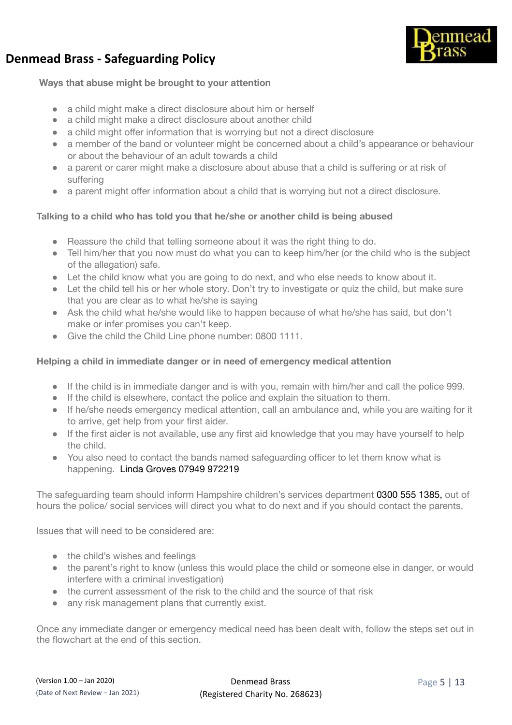

### **Ways that abuse might be brought to your attention**

- a child might make a direct disclosure about him or herself
- a child might make a direct disclosure about another child
- a child might offer information that is worrying but not a direct disclosure
- a member of the band or volunteer might be concerned about a child's appearance or behaviour or about the behaviour of an adult towards a child
- a parent or carer might make a disclosure about abuse that a child is suffering or at risk of suffering
- a parent might offer information about a child that is worrying but not a direct disclosure.

### **Talking to a child who has told you that he/she or another child is being abused**

- Reassure the child that telling someone about it was the right thing to do.
- Tell him/her that you now must do what you can to keep him/her (or the child who is the subject of the allegation) safe.
- Let the child know what you are going to do next, and who else needs to know about it.
- Let the child tell his or her whole story. Don't try to investigate or quiz the child, but make sure that you are clear as to what he/she is saying
- Ask the child what he/she would like to happen because of what he/she has said, but don't make or infer promises you can't keep.
- Give the child the Child Line phone number: 0800 1111.

### **Helping a child in immediate danger or in need of emergency medical attention**

- If the child is in immediate danger and is with you, remain with him/her and call the police 999.
- If the child is elsewhere, contact the police and explain the situation to them.
- If he/she needs emergency medical attention, call an ambulance and, while you are waiting for it to arrive, get help from your first aider.
- If the first aider is not available, use any first aid knowledge that you may have yourself to help the child.
- You also need to contact the bands named safeguarding officer to let them know what is happening. Linda Groves 07949 972219

The safeguarding team should inform Hampshire children's services department 0300 555 1385, out of hours the police/ social services will direct you what to do next and if you should contact the parents.

Issues that will need to be considered are:

- the child's wishes and feelings
- the parent's right to know (unless this would place the child or someone else in danger, or would interfere with a criminal investigation)
- the current assessment of the risk to the child and the source of that risk
- any risk management plans that currently exist.

Once any immediate danger or emergency medical need has been dealt with, follow the steps set out in the flowchart at the end of this section.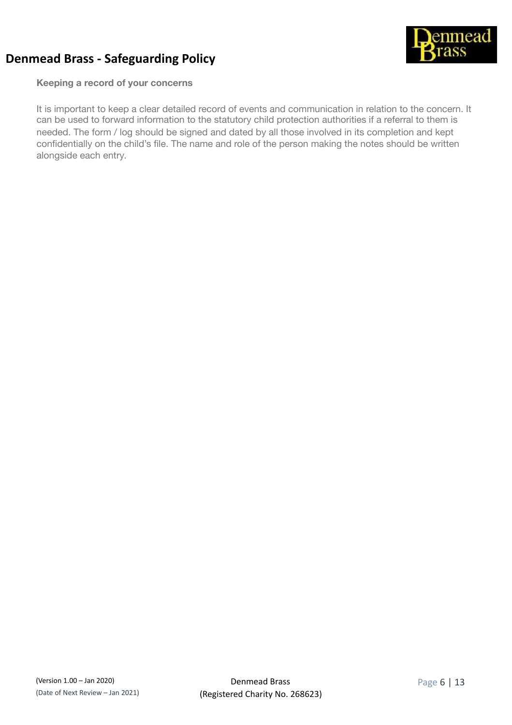

**Keeping a record of your concerns** 

It is important to keep a clear detailed record of events and communication in relation to the concern. It can be used to forward information to the statutory child protection authorities if a referral to them is needed. The form / log should be signed and dated by all those involved in its completion and kept confidentially on the child's file. The name and role of the person making the notes should be written alongside each entry.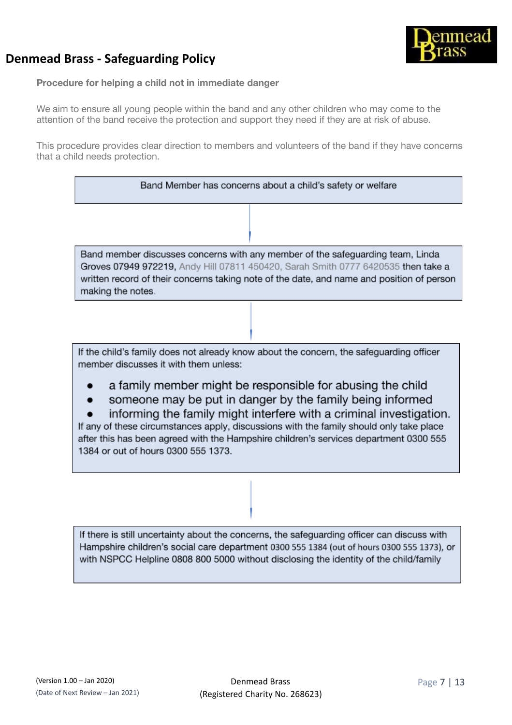



**Procedure for helping a child not in immediate danger**

We aim to ensure all young people within the band and any other children who may come to the attention of the band receive the protection and support they need if they are at risk of abuse.

This procedure provides clear direction to members and volunteers of the band if they have concerns that a child needs protection.

| Band Member has concerns about a child's safety or welfare                                                                                                                                                                                                                            |
|---------------------------------------------------------------------------------------------------------------------------------------------------------------------------------------------------------------------------------------------------------------------------------------|
|                                                                                                                                                                                                                                                                                       |
| Band member discusses concerns with any member of the safeguarding team, Linda<br>Groves 07949 972219, Andy Hill 07811 450420, Sarah Smith 0777 6420535 then take a<br>written record of their concerns taking note of the date, and name and position of person<br>making the notes. |
|                                                                                                                                                                                                                                                                                       |

If the child's family does not already know about the concern, the safeguarding officer member discusses it with them unless:

- a family member might be responsible for abusing the child
- someone may be put in danger by the family being informed

informing the family might interfere with a criminal investigation. If any of these circumstances apply, discussions with the family should only take place after this has been agreed with the Hampshire children's services department 0300 555 1384 or out of hours 0300 555 1373.

If there is still uncertainty about the concerns, the safeguarding officer can discuss with Hampshire children's social care department 0300 555 1384 (out of hours 0300 555 1373), or with NSPCC Helpline 0808 800 5000 without disclosing the identity of the child/family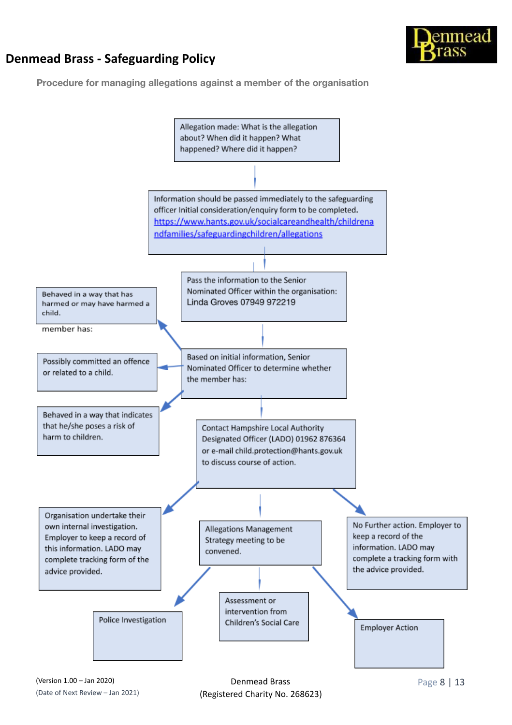

**Procedure for managing allegations against a member of the organisation**

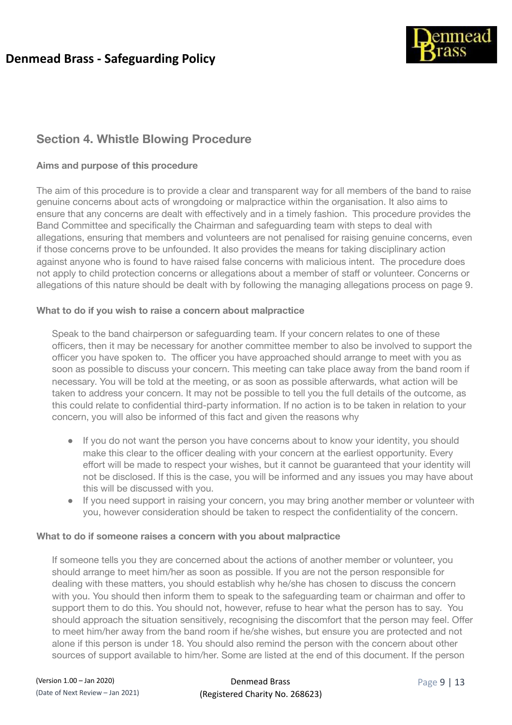

## **Section 4. Whistle Blowing Procedure**

### **Aims and purpose of this procedure**

The aim of this procedure is to provide a clear and transparent way for all members of the band to raise genuine concerns about acts of wrongdoing or malpractice within the organisation. It also aims to ensure that any concerns are dealt with effectively and in a timely fashion. This procedure provides the Band Committee and specifically the Chairman and safeguarding team with steps to deal with allegations, ensuring that members and volunteers are not penalised for raising genuine concerns, even if those concerns prove to be unfounded. It also provides the means for taking disciplinary action against anyone who is found to have raised false concerns with malicious intent. The procedure does not apply to child protection concerns or allegations about a member of staff or volunteer. Concerns or allegations of this nature should be dealt with by following the managing allegations process on page 9.

### **What to do if you wish to raise a concern about malpractice**

Speak to the band chairperson or safeguarding team. If your concern relates to one of these officers, then it may be necessary for another committee member to also be involved to support the officer you have spoken to. The officer you have approached should arrange to meet with you as soon as possible to discuss your concern. This meeting can take place away from the band room if necessary. You will be told at the meeting, or as soon as possible afterwards, what action will be taken to address your concern. It may not be possible to tell you the full details of the outcome, as this could relate to confidential third-party information. If no action is to be taken in relation to your concern, you will also be informed of this fact and given the reasons why

- If you do not want the person you have concerns about to know your identity, you should make this clear to the officer dealing with your concern at the earliest opportunity. Every effort will be made to respect your wishes, but it cannot be guaranteed that your identity will not be disclosed. If this is the case, you will be informed and any issues you may have about this will be discussed with you.
- If you need support in raising your concern, you may bring another member or volunteer with you, however consideration should be taken to respect the confidentiality of the concern.

#### **What to do if someone raises a concern with you about malpractice**

If someone tells you they are concerned about the actions of another member or volunteer, you should arrange to meet him/her as soon as possible. If you are not the person responsible for dealing with these matters, you should establish why he/she has chosen to discuss the concern with you. You should then inform them to speak to the safeguarding team or chairman and offer to support them to do this. You should not, however, refuse to hear what the person has to say. You should approach the situation sensitively, recognising the discomfort that the person may feel. Offer to meet him/her away from the band room if he/she wishes, but ensure you are protected and not alone if this person is under 18. You should also remind the person with the concern about other sources of support available to him/her. Some are listed at the end of this document. If the person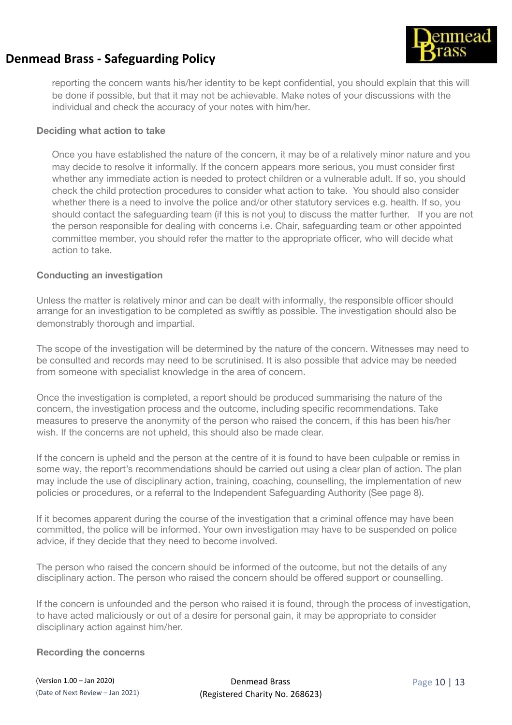

reporting the concern wants his/her identity to be kept confidential, you should explain that this will be done if possible, but that it may not be achievable. Make notes of your discussions with the individual and check the accuracy of your notes with him/her.

#### **Deciding what action to take**

Once you have established the nature of the concern, it may be of a relatively minor nature and you may decide to resolve it informally. If the concern appears more serious, you must consider first whether any immediate action is needed to protect children or a vulnerable adult. If so, you should check the child protection procedures to consider what action to take. You should also consider whether there is a need to involve the police and/or other statutory services e.g. health. If so, you should contact the safeguarding team (if this is not you) to discuss the matter further. If you are not the person responsible for dealing with concerns i.e. Chair, safeguarding team or other appointed committee member, you should refer the matter to the appropriate officer, who will decide what action to take.

#### **Conducting an investigation**

Unless the matter is relatively minor and can be dealt with informally, the responsible officer should arrange for an investigation to be completed as swiftly as possible. The investigation should also be demonstrably thorough and impartial.

The scope of the investigation will be determined by the nature of the concern. Witnesses may need to be consulted and records may need to be scrutinised. It is also possible that advice may be needed from someone with specialist knowledge in the area of concern.

Once the investigation is completed, a report should be produced summarising the nature of the concern, the investigation process and the outcome, including specific recommendations. Take measures to preserve the anonymity of the person who raised the concern, if this has been his/her wish. If the concerns are not upheld, this should also be made clear.

If the concern is upheld and the person at the centre of it is found to have been culpable or remiss in some way, the report's recommendations should be carried out using a clear plan of action. The plan may include the use of disciplinary action, training, coaching, counselling, the implementation of new policies or procedures, or a referral to the Independent Safeguarding Authority (See page 8).

If it becomes apparent during the course of the investigation that a criminal offence may have been committed, the police will be informed. Your own investigation may have to be suspended on police advice, if they decide that they need to become involved.

The person who raised the concern should be informed of the outcome, but not the details of any disciplinary action. The person who raised the concern should be offered support or counselling.

If the concern is unfounded and the person who raised it is found, through the process of investigation, to have acted maliciously or out of a desire for personal gain, it may be appropriate to consider disciplinary action against him/her.

#### **Recording the concerns**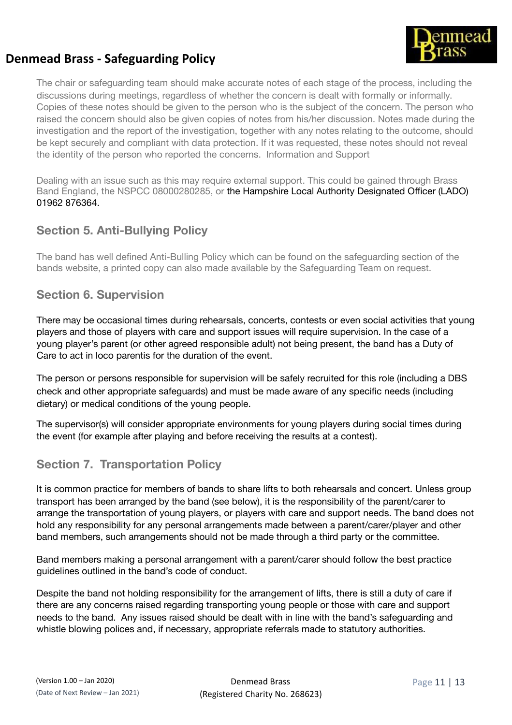

The chair or safeguarding team should make accurate notes of each stage of the process, including the discussions during meetings, regardless of whether the concern is dealt with formally or informally. Copies of these notes should be given to the person who is the subject of the concern. The person who raised the concern should also be given copies of notes from his/her discussion. Notes made during the investigation and the report of the investigation, together with any notes relating to the outcome, should be kept securely and compliant with data protection. If it was requested, these notes should not reveal the identity of the person who reported the concerns. Information and Support

Dealing with an issue such as this may require external support. This could be gained through Brass Band England, the NSPCC 08000280285, or the Hampshire Local Authority Designated Officer (LADO) 01962 876364.

### **Section 5. Anti-Bullying Policy**

The band has well defined Anti-Bulling Policy which can be found on the safeguarding section of the bands website, a printed copy can also made available by the Safeguarding Team on request.

### **Section 6. Supervision**

There may be occasional times during rehearsals, concerts, contests or even social activities that young players and those of players with care and support issues will require supervision. In the case of a young player's parent (or other agreed responsible adult) not being present, the band has a Duty of Care to act in loco parentis for the duration of the event.

The person or persons responsible for supervision will be safely recruited for this role (including a DBS check and other appropriate safeguards) and must be made aware of any specific needs (including dietary) or medical conditions of the young people.

The supervisor(s) will consider appropriate environments for young players during social times during the event (for example after playing and before receiving the results at a contest).

### **Section 7. Transportation Policy**

It is common practice for members of bands to share lifts to both rehearsals and concert. Unless group transport has been arranged by the band (see below), it is the responsibility of the parent/carer to arrange the transportation of young players, or players with care and support needs. The band does not hold any responsibility for any personal arrangements made between a parent/carer/player and other band members, such arrangements should not be made through a third party or the committee.

Band members making a personal arrangement with a parent/carer should follow the best practice guidelines outlined in the band's code of conduct.

Despite the band not holding responsibility for the arrangement of lifts, there is still a duty of care if there are any concerns raised regarding transporting young people or those with care and support needs to the band. Any issues raised should be dealt with in line with the band's safeguarding and whistle blowing polices and, if necessary, appropriate referrals made to statutory authorities.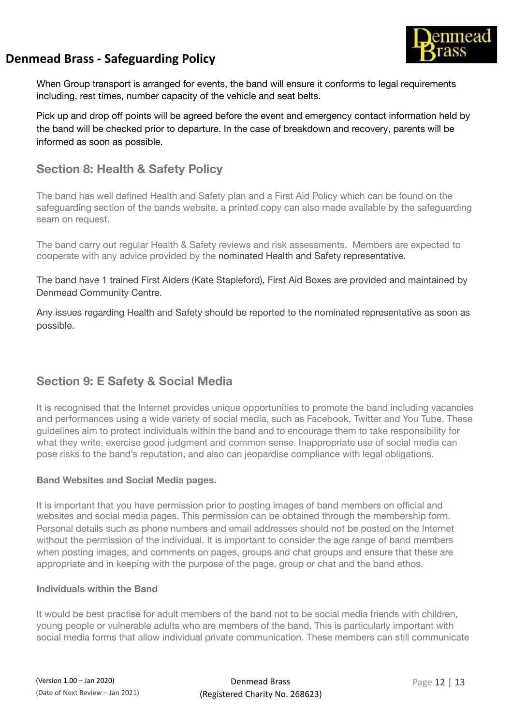

When Group transport is arranged for events, the band will ensure it conforms to legal requirements including, rest times, number capacity of the vehicle and seat belts.

Pick up and drop off points will be agreed before the event and emergency contact information held by the band will be checked prior to departure. In the case of breakdown and recovery, parents will be informed as soon as possible.

### **Section 8: Health & Safety Policy**

The band has well defined Health and Safety plan and a First Aid Policy which can be found on the safeguarding section of the bands website, a printed copy can also made available by the safeguarding seam on request.

The band carry out regular Health & Safety reviews and risk assessments. Members are expected to cooperate with any advice provided by the nominated Health and Safety representative.

The band have 1 trained First Aiders (Kate Stapleford), First Aid Boxes are provided and maintained by Denmead Community Centre.

Any issues regarding Health and Safety should be reported to the nominated representative as soon as possible.

### **Section 9: E Safety & Social Media**

It is recognised that the Internet provides unique opportunities to promote the band including vacancies and performances using a wide variety of social media, such as Facebook, Twitter and You Tube. These guidelines aim to protect individuals within the band and to encourage them to take responsibility for what they write, exercise good judgment and common sense. Inappropriate use of social media can pose risks to the band's reputation, and also can jeopardise compliance with legal obligations.

### **Band Websites and Social Media pages.**

It is important that you have permission prior to posting images of band members on official and websites and social media pages. This permission can be obtained through the membership form. Personal details such as phone numbers and email addresses should not be posted on the Internet without the permission of the individual. It is important to consider the age range of band members when posting images, and comments on pages, groups and chat groups and ensure that these are appropriate and in keeping with the purpose of the page, group or chat and the band ethos.

#### **Individuals within the Band**

It would be best practise for adult members of the band not to be social media friends with children, young people or vulnerable adults who are members of the band. This is particularly important with social media forms that allow individual private communication. These members can still communicate